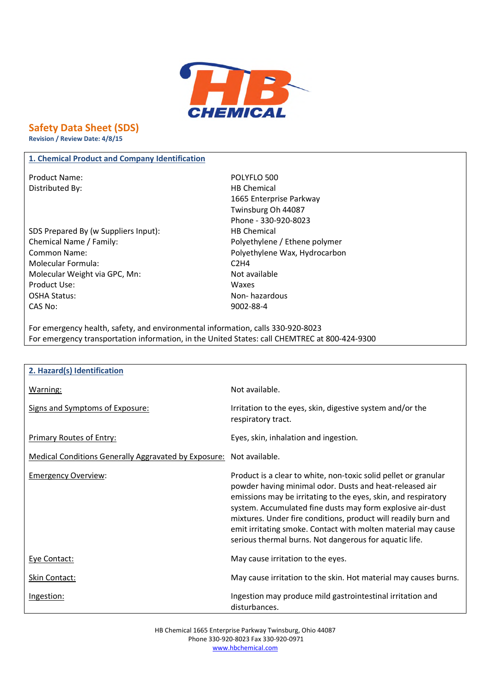

# **Safety Data Sheet (SDS)**

**Revision / Review Date: 4/8/15**

# **1. Chemical Product and Company Identification**

Product Name: POLYFLO 500 Distributed By: Notice and Separate Separate Separate Separate Separate Separate Separate Separate Separate Separate Separate Separate Separate Separate Separate Separate Separate Separate Separate Separate Separate Separa

- SDS Prepared By (w Suppliers Input): HB Chemical Chemical Name / Family: Polyethylene / Ethene polymer Common Name: Polyethylene Wax, Hydrocarbon Molecular Formula: C2H4 Molecular Weight via GPC, Mn: Not available Product Use: Waxes OSHA Status: Non- hazardous CAS No: 9002-88-4
- 1665 Enterprise Parkway Twinsburg Oh 44087 Phone - 330-920-8023

For emergency health, safety, and environmental information, calls 330-920-8023 For emergency transportation information, in the United States: call CHEMTREC at 800-424-9300

| 2. Hazard(s) Identification                                 |                                                                                                                                                                                                                                                                                                                                                                                                                                                         |
|-------------------------------------------------------------|---------------------------------------------------------------------------------------------------------------------------------------------------------------------------------------------------------------------------------------------------------------------------------------------------------------------------------------------------------------------------------------------------------------------------------------------------------|
| Warning:                                                    | Not available.                                                                                                                                                                                                                                                                                                                                                                                                                                          |
| Signs and Symptoms of Exposure:                             | Irritation to the eyes, skin, digestive system and/or the<br>respiratory tract.                                                                                                                                                                                                                                                                                                                                                                         |
| <b>Primary Routes of Entry:</b>                             | Eyes, skin, inhalation and ingestion.                                                                                                                                                                                                                                                                                                                                                                                                                   |
| <b>Medical Conditions Generally Aggravated by Exposure:</b> | Not available.                                                                                                                                                                                                                                                                                                                                                                                                                                          |
| <b>Emergency Overview:</b>                                  | Product is a clear to white, non-toxic solid pellet or granular<br>powder having minimal odor. Dusts and heat-released air<br>emissions may be irritating to the eyes, skin, and respiratory<br>system. Accumulated fine dusts may form explosive air-dust<br>mixtures. Under fire conditions, product will readily burn and<br>emit irritating smoke. Contact with molten material may cause<br>serious thermal burns. Not dangerous for aquatic life. |
| Eye Contact:                                                | May cause irritation to the eyes.                                                                                                                                                                                                                                                                                                                                                                                                                       |
| Skin Contact:                                               | May cause irritation to the skin. Hot material may causes burns.                                                                                                                                                                                                                                                                                                                                                                                        |
| Ingestion:                                                  | Ingestion may produce mild gastrointestinal irritation and<br>disturbances.                                                                                                                                                                                                                                                                                                                                                                             |

HB Chemical 1665 Enterprise Parkway Twinsburg, Ohio 44087 Phone 330-920-8023 Fax 330-920-0971 www.hbchemical.com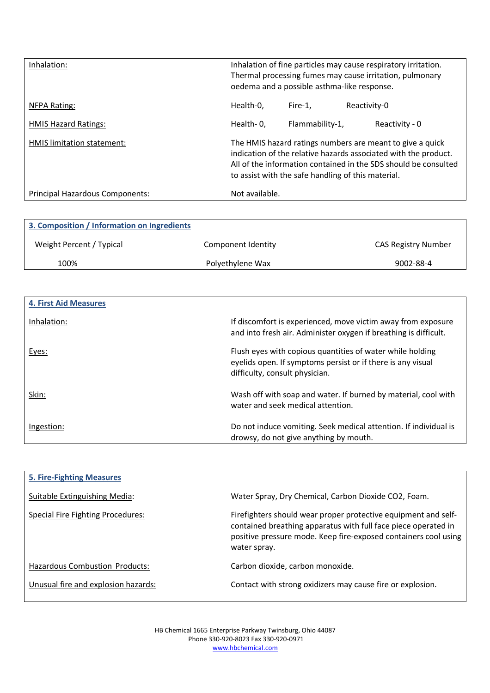| Inhalation:                     |                | oedema and a possible asthma-like response. | Inhalation of fine particles may cause respiratory irritation.<br>Thermal processing fumes may cause irritation, pulmonary                                                                                                                            |
|---------------------------------|----------------|---------------------------------------------|-------------------------------------------------------------------------------------------------------------------------------------------------------------------------------------------------------------------------------------------------------|
| NFPA Rating:                    | Health-0.      | Fire-1.                                     | Reactivity-0                                                                                                                                                                                                                                          |
| <b>HMIS Hazard Ratings:</b>     | Health-0,      | Flammability-1,                             | Reactivity - 0                                                                                                                                                                                                                                        |
| HMIS limitation statement:      |                |                                             | The HMIS hazard ratings numbers are meant to give a quick<br>indication of the relative hazards associated with the product.<br>All of the information contained in the SDS should be consulted<br>to assist with the safe handling of this material. |
| Principal Hazardous Components: | Not available. |                                             |                                                                                                                                                                                                                                                       |

| 3. Composition / Information on Ingredients |                    |                     |
|---------------------------------------------|--------------------|---------------------|
| Weight Percent / Typical                    | Component Identity | CAS Registry Number |
| 100%                                        | Polyethylene Wax   | 9002-88-4           |

| <b>4. First Aid Measures</b> |                                                                                                                                                            |
|------------------------------|------------------------------------------------------------------------------------------------------------------------------------------------------------|
| Inhalation:                  | If discomfort is experienced, move victim away from exposure<br>and into fresh air. Administer oxygen if breathing is difficult.                           |
| Eyes:                        | Flush eyes with copious quantities of water while holding<br>eyelids open. If symptoms persist or if there is any visual<br>difficulty, consult physician. |
| Skin:                        | Wash off with soap and water. If burned by material, cool with<br>water and seek medical attention.                                                        |
| Ingestion:                   | Do not induce vomiting. Seek medical attention. If individual is<br>drowsy, do not give anything by mouth.                                                 |

| <b>5. Fire-Fighting Measures</b>      |                                                                                                                                                                                                                     |
|---------------------------------------|---------------------------------------------------------------------------------------------------------------------------------------------------------------------------------------------------------------------|
| Suitable Extinguishing Media:         | Water Spray, Dry Chemical, Carbon Dioxide CO2, Foam.                                                                                                                                                                |
| Special Fire Fighting Procedures:     | Firefighters should wear proper protective equipment and self-<br>contained breathing apparatus with full face piece operated in<br>positive pressure mode. Keep fire-exposed containers cool using<br>water spray. |
| <b>Hazardous Combustion Products:</b> | Carbon dioxide, carbon monoxide.                                                                                                                                                                                    |
| Unusual fire and explosion hazards:   | Contact with strong oxidizers may cause fire or explosion.                                                                                                                                                          |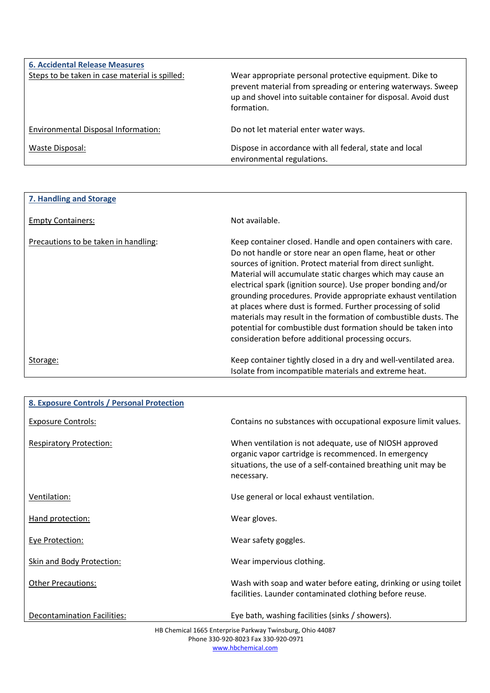| <b>6. Accidental Release Measures</b><br>Steps to be taken in case material is spilled: | Wear appropriate personal protective equipment. Dike to<br>prevent material from spreading or entering waterways. Sweep<br>up and shovel into suitable container for disposal. Avoid dust<br>formation. |
|-----------------------------------------------------------------------------------------|---------------------------------------------------------------------------------------------------------------------------------------------------------------------------------------------------------|
| Environmental Disposal Information:                                                     | Do not let material enter water ways.                                                                                                                                                                   |
| Waste Disposal:                                                                         | Dispose in accordance with all federal, state and local<br>environmental regulations.                                                                                                                   |

| 7. Handling and Storage              |                                                                                                                                                                                                                                                                                                                                                                                                                                                                                                                                                                                                                                                  |
|--------------------------------------|--------------------------------------------------------------------------------------------------------------------------------------------------------------------------------------------------------------------------------------------------------------------------------------------------------------------------------------------------------------------------------------------------------------------------------------------------------------------------------------------------------------------------------------------------------------------------------------------------------------------------------------------------|
| <b>Empty Containers:</b>             | Not available.                                                                                                                                                                                                                                                                                                                                                                                                                                                                                                                                                                                                                                   |
| Precautions to be taken in handling: | Keep container closed. Handle and open containers with care.<br>Do not handle or store near an open flame, heat or other<br>sources of ignition. Protect material from direct sunlight.<br>Material will accumulate static charges which may cause an<br>electrical spark (ignition source). Use proper bonding and/or<br>grounding procedures. Provide appropriate exhaust ventilation<br>at places where dust is formed. Further processing of solid<br>materials may result in the formation of combustible dusts. The<br>potential for combustible dust formation should be taken into<br>consideration before additional processing occurs. |
| Storage:                             | Keep container tightly closed in a dry and well-ventilated area.<br>Isolate from incompatible materials and extreme heat.                                                                                                                                                                                                                                                                                                                                                                                                                                                                                                                        |

| 8. Exposure Controls / Personal Protection |                                                                                                                                                                                                |
|--------------------------------------------|------------------------------------------------------------------------------------------------------------------------------------------------------------------------------------------------|
| <b>Exposure Controls:</b>                  | Contains no substances with occupational exposure limit values.                                                                                                                                |
| <b>Respiratory Protection:</b>             | When ventilation is not adequate, use of NIOSH approved<br>organic vapor cartridge is recommenced. In emergency<br>situations, the use of a self-contained breathing unit may be<br>necessary. |
| Ventilation:                               | Use general or local exhaust ventilation.                                                                                                                                                      |
| Hand protection:                           | Wear gloves.                                                                                                                                                                                   |
| <b>Eye Protection:</b>                     | Wear safety goggles.                                                                                                                                                                           |
| <b>Skin and Body Protection:</b>           | Wear impervious clothing.                                                                                                                                                                      |
| <b>Other Precautions:</b>                  | Wash with soap and water before eating, drinking or using toilet<br>facilities. Launder contaminated clothing before reuse.                                                                    |
| Decontamination Facilities:                | Eye bath, washing facilities (sinks / showers).                                                                                                                                                |

HB Chemical 1665 Enterprise Parkway Twinsburg, Ohio 44087 Phone 330-920-8023 Fax 330-920-0971 www.hbchemical.com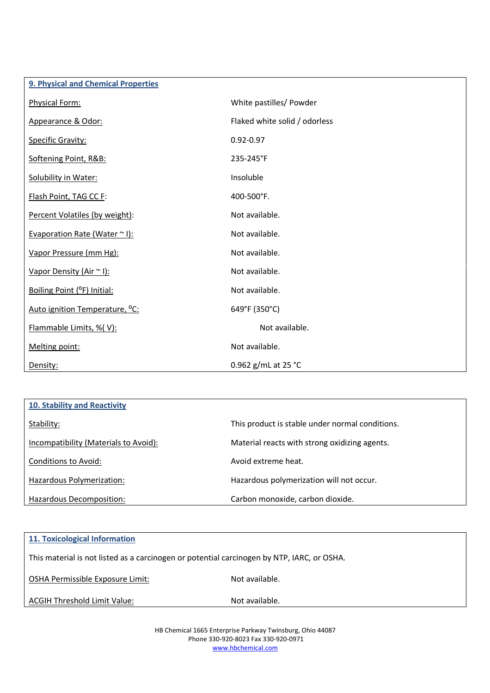| 9. Physical and Chemical Properties        |                               |
|--------------------------------------------|-------------------------------|
| Physical Form:                             | White pastilles/ Powder       |
| Appearance & Odor:                         | Flaked white solid / odorless |
| <b>Specific Gravity:</b>                   | $0.92 - 0.97$                 |
| Softening Point, R&B:                      | 235-245°F                     |
| Solubility in Water:                       | Insoluble                     |
| Flash Point, TAG CC F:                     | 400-500°F.                    |
| Percent Volatiles (by weight):             | Not available.                |
| Evaporation Rate (Water ~ I):              | Not available.                |
| Vapor Pressure (mm Hg):                    | Not available.                |
| Vapor Density (Air ~ I):                   | Not available.                |
| Boiling Point (°F) Initial:                | Not available.                |
| Auto ignition Temperature, <sup>o</sup> C: | 649°F (350°C)                 |
| Flammable Limits, %(V):                    | Not available.                |
| Melting point:                             | Not available.                |
| Density:                                   | 0.962 g/mL at 25 °C           |

| <b>10. Stability and Reactivity</b>   |                                                 |
|---------------------------------------|-------------------------------------------------|
| Stability:                            | This product is stable under normal conditions. |
| Incompatibility (Materials to Avoid): | Material reacts with strong oxidizing agents.   |
| Conditions to Avoid:                  | Avoid extreme heat.                             |
| Hazardous Polymerization:             | Hazardous polymerization will not occur.        |
| Hazardous Decomposition:              | Carbon monoxide, carbon dioxide.                |

| <b>11. Toxicological Information</b>                                                       |                |  |
|--------------------------------------------------------------------------------------------|----------------|--|
| This material is not listed as a carcinogen or potential carcinogen by NTP, IARC, or OSHA. |                |  |
| OSHA Permissible Exposure Limit:                                                           | Not available. |  |
| ACGIH Threshold Limit Value:                                                               | Not available. |  |

HB Chemical 1665 Enterprise Parkway Twinsburg, Ohio 44087 Phone 330-920-8023 Fax 330-920-0971 www.hbchemical.com